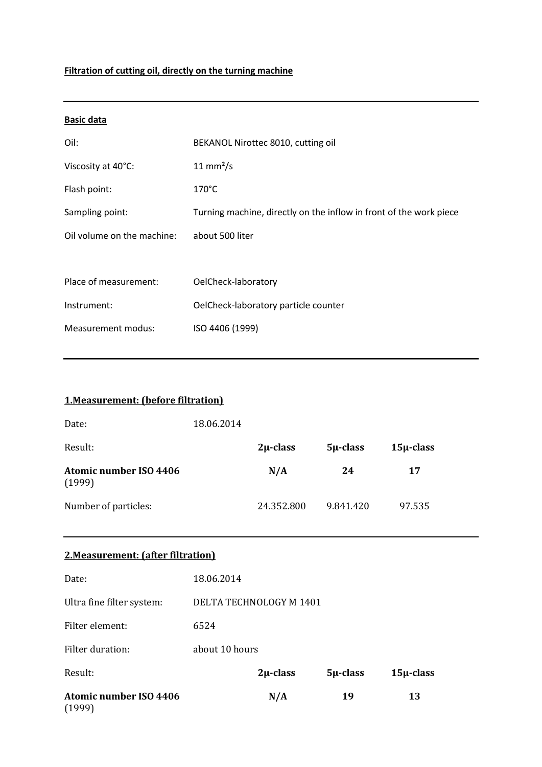# **Filtration of cutting oil, directly on the turning machine**

| <b>Basic data</b>          |                                                                    |
|----------------------------|--------------------------------------------------------------------|
| Oil:                       | BEKANOL Nirottec 8010, cutting oil                                 |
| Viscosity at 40°C:         | $11 \text{ mm}^2/\text{s}$                                         |
| Flash point:               | $170^{\circ}$ C                                                    |
| Sampling point:            | Turning machine, directly on the inflow in front of the work piece |
| Oil volume on the machine: | about 500 liter                                                    |
|                            |                                                                    |
| Place of measurement:      | OelCheck-laboratory                                                |
| Instrument:                | OelCheck-laboratory particle counter                               |
| Measurement modus:         | ISO 4406 (1999)                                                    |

| <b>1. Measurement: (before filtration)</b> |            |               |               |                |
|--------------------------------------------|------------|---------------|---------------|----------------|
| Date:                                      | 18.06.2014 |               |               |                |
| Result:                                    |            | $2\mu$ -class | $5\mu$ -class | $15\mu$ -class |
| <b>Atomic number ISO 4406</b><br>(1999)    |            | N/A           | 24            | 17             |
| Number of particles:                       |            | 24.352.800    | 9.841.420     | 97.535         |
|                                            |            |               |               |                |

#### **2.Measurement: (after filtration)**

| <b>Atomic number ISO 4406</b><br>$\sim$ $\sim$ $\sim$ $\sim$ |                         | N/A           | 19            | 13             |
|--------------------------------------------------------------|-------------------------|---------------|---------------|----------------|
| Result:                                                      |                         | $2\mu$ -class | $5\mu$ -class | $15\mu$ -class |
| Filter duration:                                             | about 10 hours          |               |               |                |
| Filter element:                                              | 6524                    |               |               |                |
| Ultra fine filter system:                                    | DELTA TECHNOLOGY M 1401 |               |               |                |
| Date:                                                        | 18.06.2014              |               |               |                |

(1999)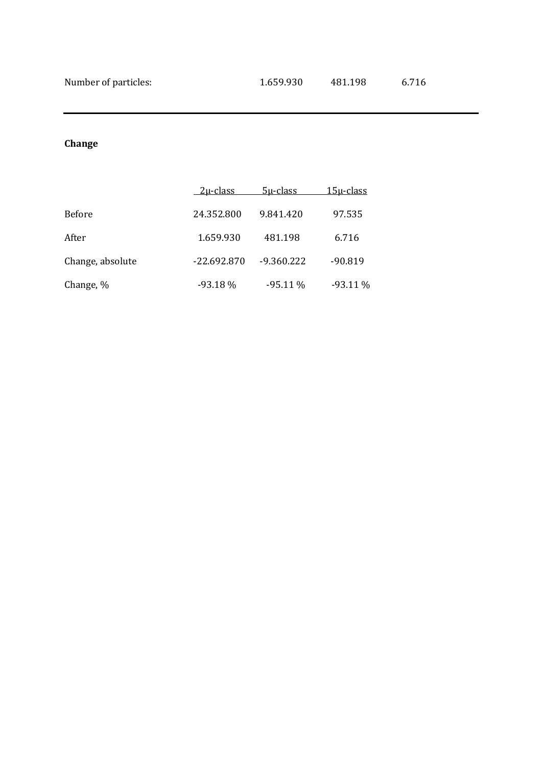# **Change**

|                  | <u>2u-class_</u> | $5\mu$ -class | <u> 15u-class</u> |
|------------------|------------------|---------------|-------------------|
| <b>Before</b>    | 24.352.800       | 9.841.420     | 97.535            |
| After            | 1.659.930        | 481.198       | 6.716             |
| Change, absolute | $-22.692.870$    | $-9.360.222$  | $-90.819$         |
| Change, %        | $-93.18%$        | $-95.11\%$    | $-93.11\%$        |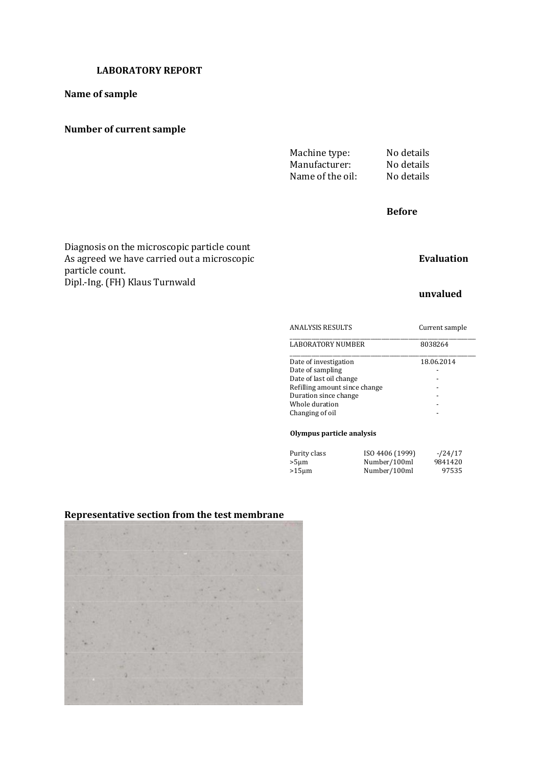#### **Name of sample**

#### **Number of current sample**

Machine type: No details Manufacturer: No details<br>Name of the oil: No details Name of the oil:

#### **Before**

#### Diagnosis on the microscopic particle count As agreed we have carried out a microscopic **Evaluation** Evaluation particle count. Dipl.-Ing. (FH) Klaus Turnwald

#### **unvalued**

| <b>ANALYSIS RESULTS</b>       | Current sample |  |
|-------------------------------|----------------|--|
| LABORATORY NUMBER             | 8038264        |  |
| Date of investigation         | 18.06.2014     |  |
| Date of sampling              |                |  |
| Date of last oil change       |                |  |
| Refilling amount since change |                |  |
| Duration since change         |                |  |
| Whole duration                |                |  |
| Changing of oil               |                |  |

#### **Olympus particle analysis**

| Purity class | ISO 4406 (1999) | $-124/17$ |
|--------------|-----------------|-----------|
| >5µm         | Number/100ml    | 9841420   |
| >15µm        | Number/100ml    | 97535     |

#### **Representative section from the test membrane**

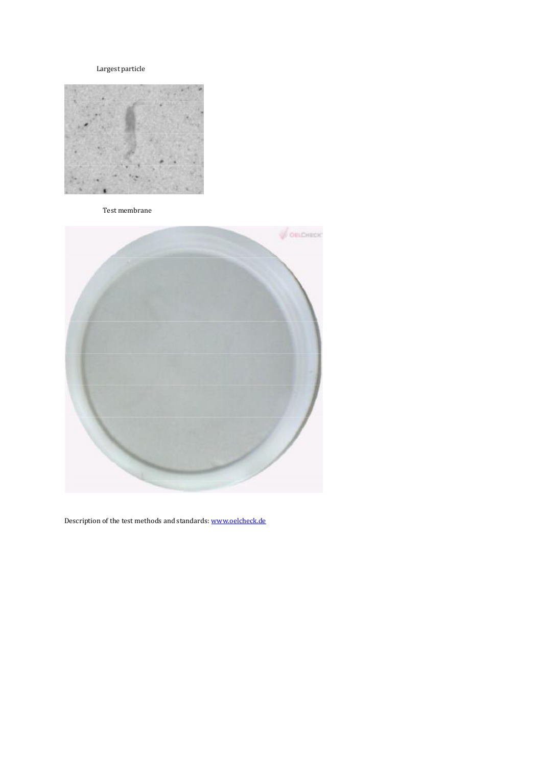#### Largest particle



Test membrane



Description of the test methods and standards[: www.oelcheck.de](http://www.oelcheck.de/)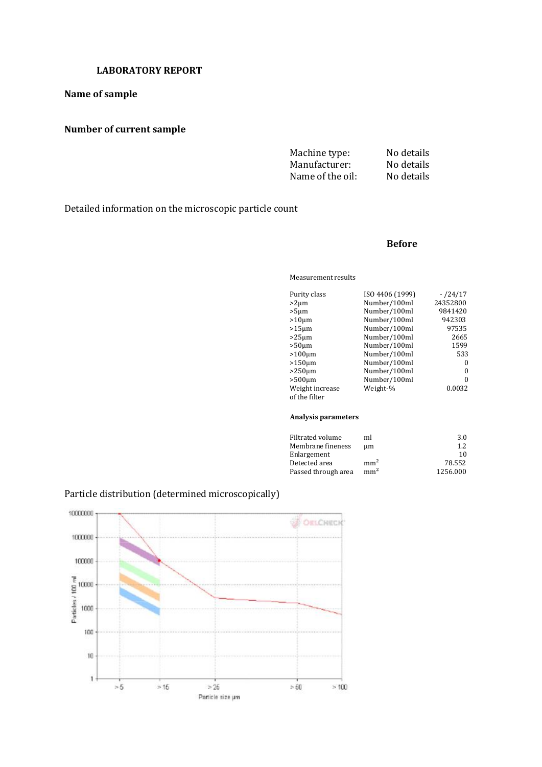#### **Name of sample**

# **Number of current sample**

| Machine type:    | No details |
|------------------|------------|
| Manufacturer:    | No details |
| Name of the oil: | No details |

Detailed information on the microscopic particle count

#### **Before**

Measurement results

| Purity class    | ISO 4406 (1999) | $-124/17$ |
|-----------------|-----------------|-----------|
| $>2 \mu m$      | Number/100ml    | 24352800  |
| $>5 \mu m$      | Number/100ml    | 9841420   |
| $>10 \mu m$     | Number/100ml    | 942303    |
| $>15 \mu m$     | Number/100ml    | 97535     |
| $>25 \mu m$     | Number/100ml    | 2665      |
| $>50 \mu m$     | Number/100ml    | 1599      |
| $>100 \mu m$    | Number/100ml    | 533       |
| $>150 \mu m$    | Number/100ml    | 0         |
| $>250 \mu m$    | Number/100ml    | 0         |
| $>500 \mu m$    | Number/100ml    | $\Omega$  |
| Weight increase | Weight-%        | 0.0032    |
| of the filter   |                 |           |
|                 |                 |           |

#### **Analysis parameters**

| ml              | 3.0      |
|-----------------|----------|
| um              | 1.2.     |
|                 | 10       |
| mm <sup>2</sup> | 78.552   |
| mm <sup>2</sup> | 1256.000 |
|                 |          |

#### Particle distribution (determined microscopically)

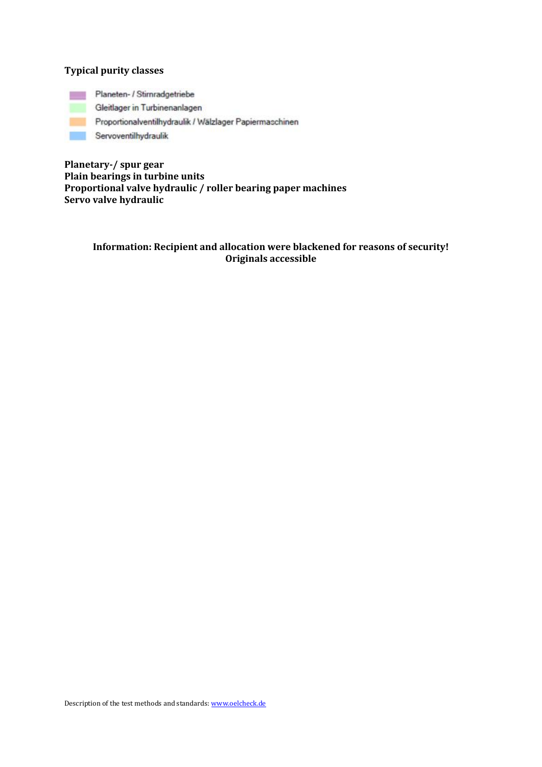#### **Typical purity classes**

Planeten- / Stirnradgetriebe

Gleitlager in Turbinenanlagen

Proportionalventilhydraulik / Wälzlager Papiermaschinen

Servoventilhydraulik

**Planetary-/ spur gear Plain bearings in turbine units Proportional valve hydraulic / roller bearing paper machines Servo valve hydraulic**

#### **Information: Recipient and allocation were blackened for reasons of security! Originals accessible**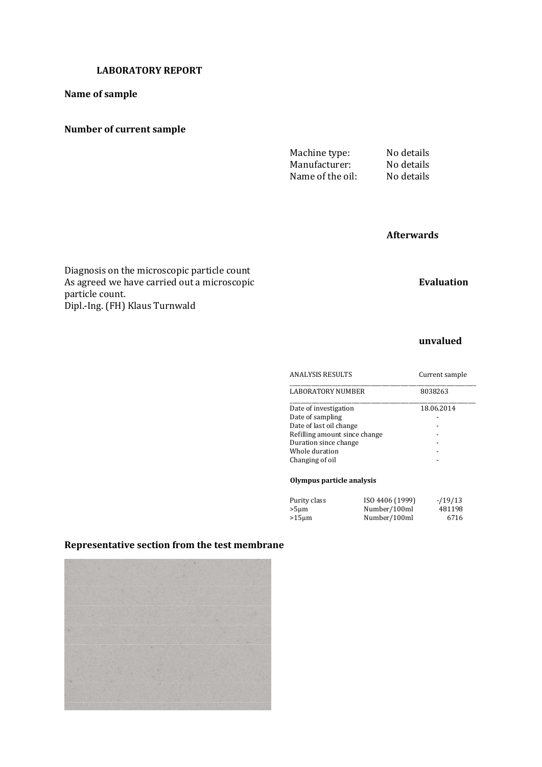#### **Name of sample**

#### **Number of current sample**

Machine type: No details Manufacturer: No details<br>Name of the oil: No details Name of the oil:

## **Afterwards**

Diagnosis on the microscopic particle count As agreed we have carried out a microscopic **Evaluation** particle count. Dipl.-Ing. (FH) Klaus Turnwald

#### **unvalued**

| <b>ANALYSIS RESULTS</b>       | Current sample |  |
|-------------------------------|----------------|--|
| <b>LABORATORY NUMBER</b>      | 8038263        |  |
| Date of investigation         | 18.06.2014     |  |
| Date of sampling              |                |  |
| Date of last oil change       |                |  |
| Refilling amount since change |                |  |
| Duration since change         |                |  |
| Whole duration                |                |  |
| Changing of oil               |                |  |
|                               |                |  |
|                               |                |  |

#### **Olympus particle analysis**

| Purity class | ISO 4406 (1999) | $-19/13$ |
|--------------|-----------------|----------|
| $>5 \mu m$   | Number/100ml    | 481198   |
| $>15 \mu m$  | Number/100ml    | 6716     |

#### **Representative section from the test membrane**

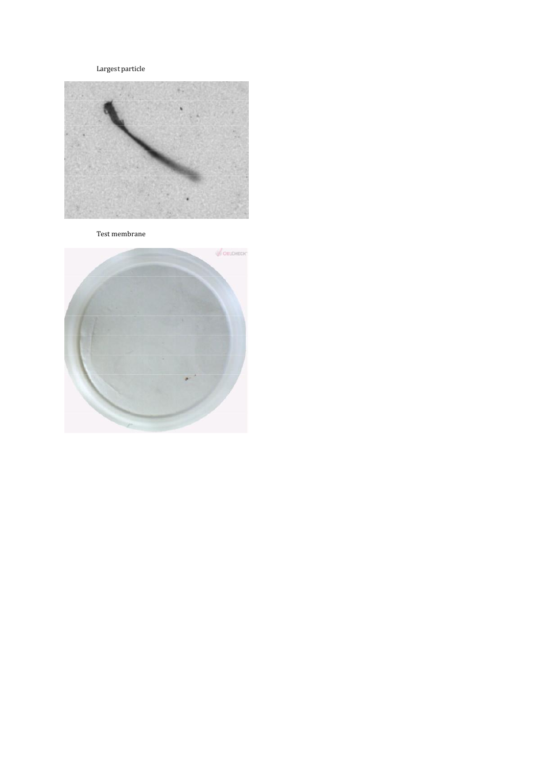Largest particle



Test membrane

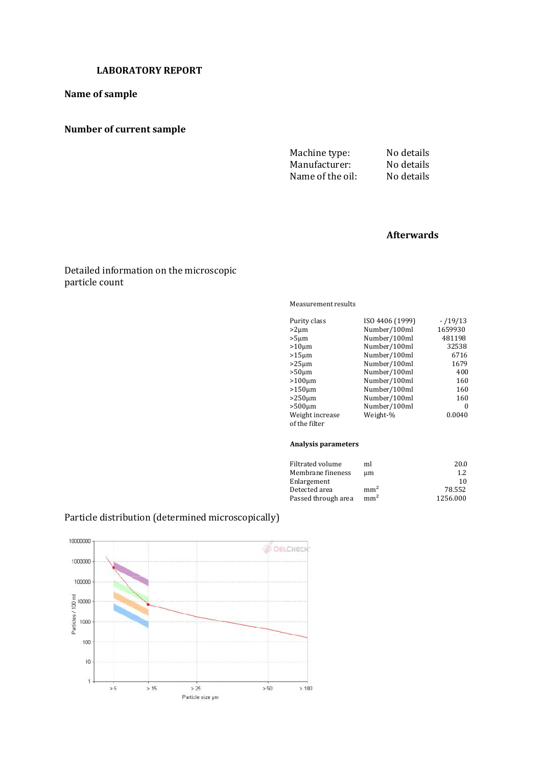#### **Name of sample**

# **Number of current sample**

Machine type: No details Manufacturer: No details<br>Name of the oil: No details Name of the oil:

## **Afterwards**

#### Detailed information on the microscopic particle count

Measurement results

| Purity class    | ISO 4406 (1999) | $-19/13$ |
|-----------------|-----------------|----------|
| $>2 \mu m$      | Number/100ml    | 1659930  |
| $>5 \mu m$      | Number/100ml    | 481198   |
| $>10 \mu m$     | Number/100ml    | 32538    |
| $>15 \mu m$     | Number/100ml    | 6716     |
| $>25 \mu m$     | Number/100ml    | 1679     |
| $>50 \mu m$     | Number/100ml    | 400      |
| $>100 \mu m$    | Number/100ml    | 160      |
| $>150 \mu m$    | Number/100ml    | 160      |
| $>250 \mu m$    | Number/100ml    | 160      |
| $>500 \mu m$    | Number/100ml    | $\Omega$ |
| Weight increase | Weight-%        | 0.0040   |
| of the filter   |                 |          |

#### **Analysis parameters**

| Filtrated volume    | ml              | 20.0     |
|---------------------|-----------------|----------|
| Membrane fineness   | um              | 1.2.     |
| Enlargement         |                 | 10       |
| Detected area       | mm <sup>2</sup> | 78.552   |
| Passed through area | mm <sup>2</sup> | 1256.000 |
|                     |                 |          |



## Particle distribution (determined microscopically)